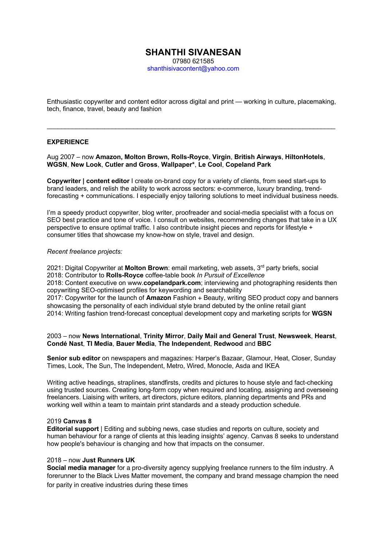# **SHANTHI SIVANESAN** 07980 621585

shanthisivacontent@yahoo.com

Enthusiastic copywriter and content editor across digital and print — working in culture, placemaking, tech, finance, travel, beauty and fashion

\_\_\_\_\_\_\_\_\_\_\_\_\_\_\_\_\_\_\_\_\_\_\_\_\_\_\_\_\_\_\_\_\_\_\_\_\_\_\_\_\_\_\_\_\_\_\_\_\_\_\_\_\_\_\_\_\_\_\_\_\_\_\_\_\_\_\_\_\_\_\_\_\_\_\_\_\_\_\_\_

# **EXPERIENCE**

Aug 2007 – now **Amazon, Molton Brown, Rolls-Royce**, **Virgin**, **British Airways**, **HiltonHotels**, **WGSN**, **New Look**, **Cutler and Gross**, **Wallpaper\***, **Le Cool**, **Copeland Park** 

**Copywriter | content editor** I create on-brand copy for a variety of clients, from seed start-ups to brand leaders, and relish the ability to work across sectors: e-commerce, luxury branding, trendforecasting + communications. I especially enjoy tailoring solutions to meet individual business needs.

I'm a speedy product copywriter, blog writer, proofreader and social-media specialist with a focus on SEO best practice and tone of voice. I consult on websites, recommending changes that take in a UX perspective to ensure optimal traffic. I also contribute insight pieces and reports for lifestyle + consumer titles that showcase my know-how on style, travel and design.

# *Recent freelance projects:*

2021: Digital Copywriter at **Molton Brown**: email marketing, web assets, 3rd party briefs, social 2018: Contributor to **Rolls-Royce** coffee-table book *In Pursuit of Excellence* 2018: Content executive on www.**copelandpark.com**; interviewing and photographing residents then copywriting SEO-optimised profiles for keywording and searchability 2017: Copywriter for the launch of **Amazon** Fashion + Beauty, writing SEO product copy and banners showcasing the personality of each individual style brand debuted by the online retail giant 2014: Writing fashion trend-forecast conceptual development copy and marketing scripts for **WGSN**

# 2003 – now **News International**, **Trinity Mirror**, **Daily Mail and General Trust**, **Newsweek**, **Hearst**, **Condé Nast**, **TI Media**, **Bauer Media**, **The Independent**, **Redwood** and **BBC**

**Senior sub editor** on newspapers and magazines: Harper's Bazaar, Glamour, Heat, Closer, Sunday Times, Look, The Sun, The Independent, Metro, Wired, Monocle, Asda and IKEA

Writing active headings, straplines, standfirsts, credits and pictures to house style and fact-checking using trusted sources. Creating long-form copy when required and locating, assigning and overseeing freelancers. Liaising with writers, art directors, picture editors, planning departments and PRs and working well within a team to maintain print standards and a steady production schedule.

# 2019 **Canvas 8**

**Editorial support** | Editing and subbing news, case studies and reports on culture, society and human behaviour for a range of clients at this leading insights' agency. Canvas 8 seeks to understand how people's behaviour is changing and how that impacts on the consumer.

# 2018 – now **Just Runners UK**

**Social media manager** for a pro-diversity agency supplying freelance runners to the film industry. A forerunner to the Black Lives Matter movement, the company and brand message champion the need for parity in creative industries during these times